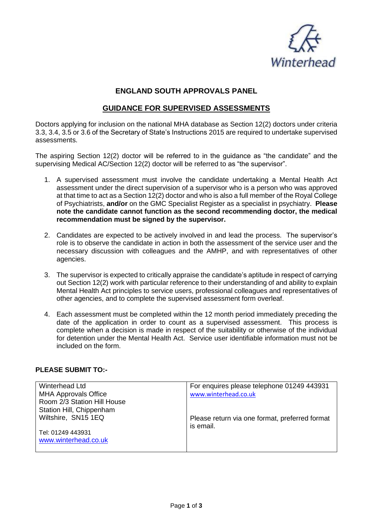

## **ENGLAND SOUTH APPROVALS PANEL**

## **GUIDANCE FOR SUPERVISED ASSESSMENTS**

Doctors applying for inclusion on the national MHA database as Section 12(2) doctors under criteria 3.3, 3.4, 3.5 or 3.6 of the Secretary of State's Instructions 2015 are required to undertake supervised assessments.

The aspiring Section 12(2) doctor will be referred to in the guidance as "the candidate" and the supervising Medical AC/Section 12(2) doctor will be referred to as "the supervisor".

- 1. A supervised assessment must involve the candidate undertaking a Mental Health Act assessment under the direct supervision of a supervisor who is a person who was approved at that time to act as a Section 12(2) doctor and who is also a full member of the Royal College of Psychiatrists, **and/or** on the GMC Specialist Register as a specialist in psychiatry. **Please note the candidate cannot function as the second recommending doctor, the medical recommendation must be signed by the supervisor.**
- 2. Candidates are expected to be actively involved in and lead the process. The supervisor's role is to observe the candidate in action in both the assessment of the service user and the necessary discussion with colleagues and the AMHP, and with representatives of other agencies.
- 3. The supervisor is expected to critically appraise the candidate's aptitude in respect of carrying out Section 12(2) work with particular reference to their understanding of and ability to explain Mental Health Act principles to service users, professional colleagues and representatives of other agencies, and to complete the supervised assessment form overleaf.
- 4. Each assessment must be completed within the 12 month period immediately preceding the date of the application in order to count as a supervised assessment. This process is complete when a decision is made in respect of the suitability or otherwise of the individual for detention under the Mental Health Act. Service user identifiable information must not be included on the form.

## **PLEASE SUBMIT TO:-**

| Winterhead Ltd              | For enquires please telephone 01249 443931     |
|-----------------------------|------------------------------------------------|
| <b>MHA Approvals Office</b> | www.winterhead.co.uk                           |
| Room 2/3 Station Hill House |                                                |
| Station Hill, Chippenham    |                                                |
| Wiltshire, SN15 1EQ         | Please return via one format, preferred format |
|                             | is email.                                      |
| Tel: 01249 443931           |                                                |
| www.winterhead.co.uk        |                                                |
|                             |                                                |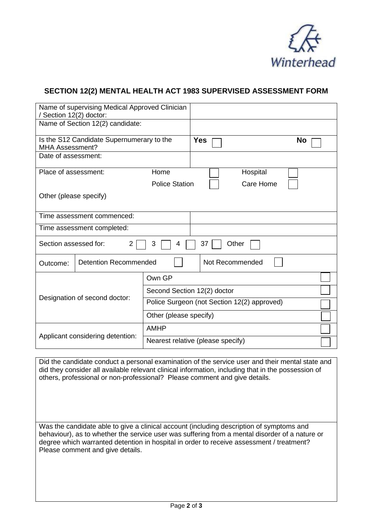

## **SECTION 12(2) MENTAL HEALTH ACT 1983 SUPERVISED ASSESSMENT FORM**

| / Section 12(2) doctor:                                             | Name of supervising Medical Approved Clinician |                                   |                                             |           |  |  |
|---------------------------------------------------------------------|------------------------------------------------|-----------------------------------|---------------------------------------------|-----------|--|--|
|                                                                     | Name of Section 12(2) candidate:               |                                   |                                             |           |  |  |
| Is the S12 Candidate Supernumerary to the<br><b>MHA Assessment?</b> |                                                | <b>Yes</b><br>No                  |                                             |           |  |  |
| Date of assessment:                                                 |                                                |                                   |                                             |           |  |  |
| Place of assessment:                                                |                                                | Home                              |                                             | Hospital  |  |  |
|                                                                     |                                                | <b>Police Station</b>             |                                             | Care Home |  |  |
| Other (please specify)                                              |                                                |                                   |                                             |           |  |  |
|                                                                     | Time assessment commenced:                     |                                   |                                             |           |  |  |
| Time assessment completed:                                          |                                                |                                   |                                             |           |  |  |
| Section assessed for:<br>$\overline{2}$<br>3<br>37<br>Other<br>4    |                                                |                                   |                                             |           |  |  |
| Outcome:                                                            | <b>Detention Recommended</b>                   | Not Recommended                   |                                             |           |  |  |
| Own GP                                                              |                                                |                                   |                                             |           |  |  |
| Designation of second doctor:                                       |                                                |                                   | Second Section 12(2) doctor                 |           |  |  |
|                                                                     |                                                |                                   | Police Surgeon (not Section 12(2) approved) |           |  |  |
| Other (please specify)                                              |                                                |                                   |                                             |           |  |  |
| <b>AMHP</b><br>Applicant considering detention:                     |                                                |                                   |                                             |           |  |  |
|                                                                     |                                                | Nearest relative (please specify) |                                             |           |  |  |

Did the candidate conduct a personal examination of the service user and their mental state and did they consider all available relevant clinical information, including that in the possession of others, professional or non-professional? Please comment and give details.

Was the candidate able to give a clinical account (including description of symptoms and behaviour), as to whether the service user was suffering from a mental disorder of a nature or degree which warranted detention in hospital in order to receive assessment / treatment? Please comment and give details.